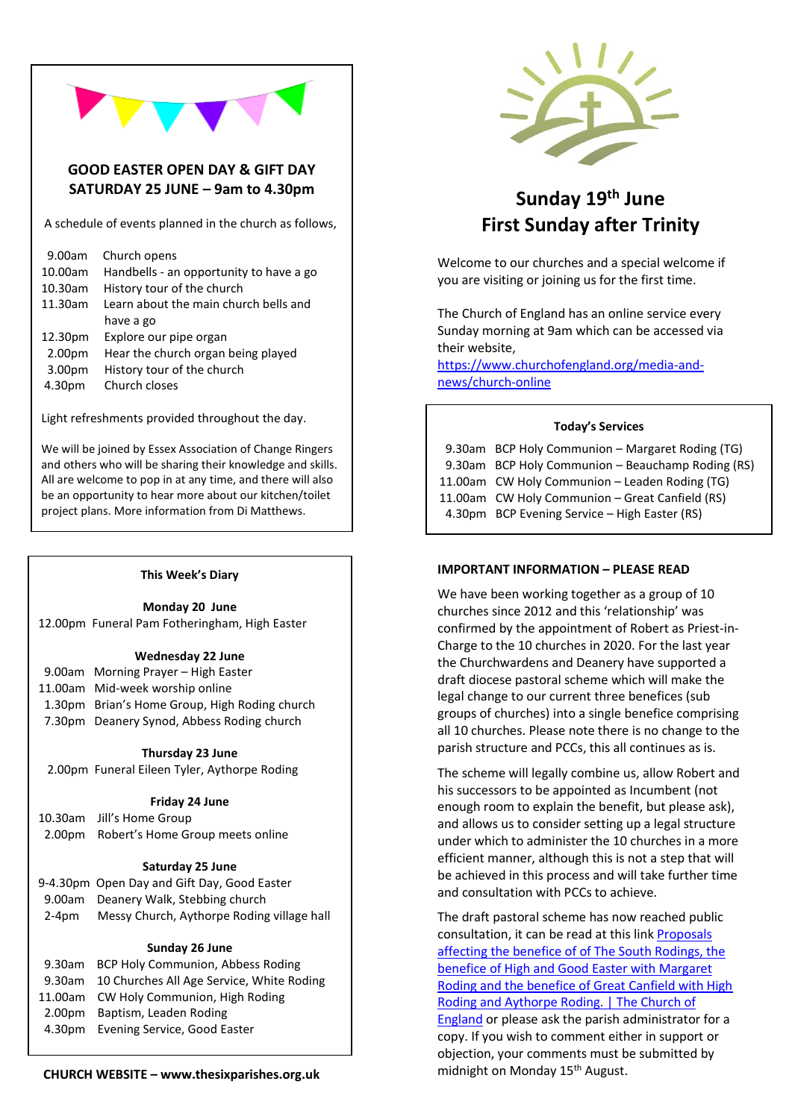# **GOOD EASTER OPEN DAY & GIFT DAY SATURDAY 25 JUNE – 9am to 4.30pm**

A schedule of events planned in the church as follows,

| 9.00am     | Church opens                            |
|------------|-----------------------------------------|
| 10.00am    | Handbells - an opportunity to have a go |
| $10.30$ am | History tour of the church              |
| 11.30am    | Learn about the main church bells and   |
|            | have a go                               |
| 12.30pm    | Explore our pipe organ                  |
| 2.00pm     | Hear the church organ being played      |
| 3.00pm     | History tour of the church              |
| 4.30pm     | Church closes                           |
|            |                                         |

Light refreshments provided throughout the day.

We will be joined by Essex Association of Change Ringers and others who will be sharing their knowledge and skills. All are welcome to pop in at any time, and there will also be an opportunity to hear more about our kitchen/toilet project plans. More information from Di Matthews.

### **This Week's Diary**

**Monday 20 June**

12.00pm Funeral Pam Fotheringham, High Easter

### **Wednesday 22 June**

| 9.00am Morning Prayer - High Easter           |
|-----------------------------------------------|
| 11.00am Mid-week worship online               |
| 1.30pm Brian's Home Group, High Roding church |
| 7.30pm Deanery Synod, Abbess Roding church    |
|                                               |

### **Thursday 23 June**

2.00pm Funeral Eileen Tyler, Aythorpe Roding

### **Friday 24 June**

| 10.30am Jill's Home Group               |
|-----------------------------------------|
| 2.00pm Robert's Home Group meets online |

# **Saturday 25 June**

|       | 9-4.30pm Open Day and Gift Day, Good Easter |
|-------|---------------------------------------------|
|       | 9.00am Deanery Walk, Stebbing church        |
| 2-4pm | Messy Church, Aythorpe Roding village hall  |

# **Sunday 26 June**

| 9.30am BCP Holy Communion, Abbess Roding         |
|--------------------------------------------------|
| 9.30am 10 Churches All Age Service, White Roding |
| 11.00am CW Holy Communion, High Roding           |
| 2.00pm Baptism, Leaden Roding                    |
| 4.30pm Evening Service, Good Easter              |
|                                                  |

# **Sunday 19 th June First Sunday after Trinity**

Welcome to our churches and a special welcome if you are visiting or joining us for the first time.

The Church of England has an online service every Sunday morning at 9am which can be accessed via their website,

[https://www.churchofengland.org/media-and](https://www.churchofengland.org/media-and-news/church-online)[news/church-online](https://www.churchofengland.org/media-and-news/church-online)

### **Today's Services**

 9.30am BCP Holy Communion – Margaret Roding (TG) 9.30am BCP Holy Communion – Beauchamp Roding (RS) 11.00am CW Holy Communion – Leaden Roding (TG) 11.00am CW Holy Communion – Great Canfield (RS) 4.30pm BCP Evening Service – High Easter (RS)

### **IMPORTANT INFORMATION – PLEASE READ**

We have been working together as a group of 10 churches since 2012 and this 'relationship' was confirmed by the appointment of Robert as Priest-in-Charge to the 10 churches in 2020. For the last year the Churchwardens and Deanery have supported a draft diocese pastoral scheme which will make the legal change to our current three benefices (sub groups of churches) into a single benefice comprising all 10 churches. Please note there is no change to the parish structure and PCCs, this all continues as is.

The scheme will legally combine us, allow Robert and his successors to be appointed as Incumbent (not enough room to explain the benefit, but please ask), and allows us to consider setting up a legal structure under which to administer the 10 churches in a more efficient manner, although this is not a step that will be achieved in this process and will take further time and consultation with PCCs to achieve.

The draft pastoral scheme has now reached public consultation, it can be read at this link [Proposals](https://www.churchofengland.org/consultation/Rodings)  [affecting the benefice of of The South Rodings, the](https://www.churchofengland.org/consultation/Rodings)  [benefice of High and Good Easter with Margaret](https://www.churchofengland.org/consultation/Rodings)  [Roding and the benefice of Great Canfield with High](https://www.churchofengland.org/consultation/Rodings)  [Roding and Aythorpe Roding. | The Church of](https://www.churchofengland.org/consultation/Rodings)  [England](https://www.churchofengland.org/consultation/Rodings) or please ask the parish administrator for a copy. If you wish to comment either in support or objection, your comments must be submitted by midnight on Monday 15<sup>th</sup> August.